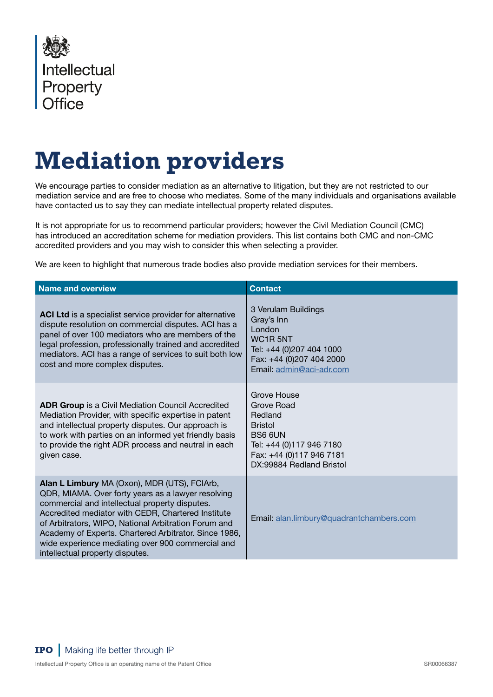

## **Mediation providers**

We encourage parties to consider mediation as an alternative to litigation, but they are not restricted to our mediation service and are free to choose who mediates. Some of the many individuals and organisations available have contacted us to say they can mediate intellectual property related disputes.

It is not appropriate for us to recommend particular providers; however the Civil Mediation Council (CMC) has introduced an accreditation scheme for mediation providers. This list contains both CMC and non-CMC accredited providers and you may wish to consider this when selecting a provider.

We are keen to highlight that numerous trade bodies also provide mediation services for their members.

| <b>Name and overview</b>                                                                                                                                                                                                                                                                                                                                                                                            | <b>Contact</b>                                                                                                                                                      |
|---------------------------------------------------------------------------------------------------------------------------------------------------------------------------------------------------------------------------------------------------------------------------------------------------------------------------------------------------------------------------------------------------------------------|---------------------------------------------------------------------------------------------------------------------------------------------------------------------|
| ACI Ltd is a specialist service provider for alternative<br>dispute resolution on commercial disputes. ACI has a<br>panel of over 100 mediators who are members of the<br>legal profession, professionally trained and accredited<br>mediators. ACI has a range of services to suit both low<br>cost and more complex disputes.                                                                                     | 3 Verulam Buildings<br>Gray's Inn<br>London<br>WC <sub>1</sub> R <sub>5NT</sub><br>Tel: +44 (0)207 404 1000<br>Fax: +44 (0)207 404 2000<br>Email: admin@aci-adr.com |
| <b>ADR Group</b> is a Civil Mediation Council Accredited<br>Mediation Provider, with specific expertise in patent<br>and intellectual property disputes. Our approach is<br>to work with parties on an informed yet friendly basis<br>to provide the right ADR process and neutral in each<br>given case.                                                                                                           | Grove House<br>Grove Road<br>Redland<br><b>Bristol</b><br>BS6 6UN<br>Tel: +44 (0)117 946 7180<br>Fax: +44 (0)117 946 7181<br>DX:99884 Redland Bristol               |
| Alan L Limbury MA (Oxon), MDR (UTS), FCIArb,<br>QDR, MIAMA. Over forty years as a lawyer resolving<br>commercial and intellectual property disputes.<br>Accredited mediator with CEDR, Chartered Institute<br>of Arbitrators, WIPO, National Arbitration Forum and<br>Academy of Experts. Chartered Arbitrator. Since 1986,<br>wide experience mediating over 900 commercial and<br>intellectual property disputes. | Email: alan.limbury@quadrantchambers.com                                                                                                                            |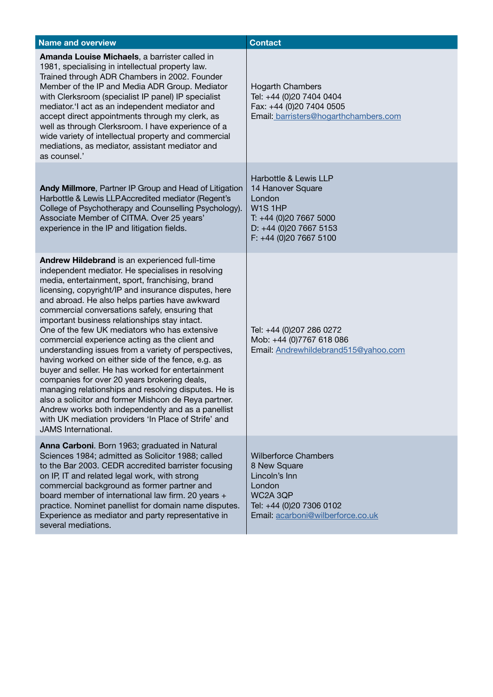| <b>Name and overview</b>                                                                                                                                                                                                                                                                                                                                                                                                                                                                                                                                                                                                                                                                                                                                                                                                                                                                                                                             | <b>Contact</b>                                                                                                                                      |
|------------------------------------------------------------------------------------------------------------------------------------------------------------------------------------------------------------------------------------------------------------------------------------------------------------------------------------------------------------------------------------------------------------------------------------------------------------------------------------------------------------------------------------------------------------------------------------------------------------------------------------------------------------------------------------------------------------------------------------------------------------------------------------------------------------------------------------------------------------------------------------------------------------------------------------------------------|-----------------------------------------------------------------------------------------------------------------------------------------------------|
| Amanda Louise Michaels, a barrister called in<br>1981, specialising in intellectual property law.<br>Trained through ADR Chambers in 2002. Founder<br>Member of the IP and Media ADR Group. Mediator<br>with Clerksroom (specialist IP panel) IP specialist<br>mediator.'I act as an independent mediator and<br>accept direct appointments through my clerk, as<br>well as through Clerksroom. I have experience of a<br>wide variety of intellectual property and commercial<br>mediations, as mediator, assistant mediator and<br>as counsel.'                                                                                                                                                                                                                                                                                                                                                                                                    | <b>Hogarth Chambers</b><br>Tel: +44 (0)20 7404 0404<br>Fax: +44 (0)20 7404 0505<br>Email: barristers@hogarthchambers.com                            |
| Andy Millmore, Partner IP Group and Head of Litigation<br>Harbottle & Lewis LLP.Accredited mediator (Regent's<br>College of Psychotherapy and Counselling Psychology).<br>Associate Member of CITMA. Over 25 years'<br>experience in the IP and litigation fields.                                                                                                                                                                                                                                                                                                                                                                                                                                                                                                                                                                                                                                                                                   | Harbottle & Lewis LLP<br>14 Hanover Square<br>London<br>W1S1HP<br>T: +44 (0)20 7667 5000<br>D: +44 (0)20 7667 5153<br>F: +44 (0)20 7667 5100        |
| Andrew Hildebrand is an experienced full-time<br>independent mediator. He specialises in resolving<br>media, entertainment, sport, franchising, brand<br>licensing, copyright/IP and insurance disputes, here<br>and abroad. He also helps parties have awkward<br>commercial conversations safely, ensuring that<br>important business relationships stay intact.<br>One of the few UK mediators who has extensive<br>commercial experience acting as the client and<br>understanding issues from a variety of perspectives,<br>having worked on either side of the fence, e.g. as<br>buyer and seller. He has worked for entertainment<br>companies for over 20 years brokering deals,<br>managing relationships and resolving disputes. He is<br>also a solicitor and former Mishcon de Reya partner.<br>Andrew works both independently and as a panellist<br>with UK mediation providers 'In Place of Strife' and<br><b>JAMS</b> International. | Tel: +44 (0)207 286 0272<br>Mob: +44 (0)7767 618 086<br>Email: Andrewhildebrand515@yahoo.com                                                        |
| Anna Carboni. Born 1963; graduated in Natural<br>Sciences 1984; admitted as Solicitor 1988; called<br>to the Bar 2003. CEDR accredited barrister focusing<br>on IP, IT and related legal work, with strong<br>commercial background as former partner and<br>board member of international law firm. 20 years +<br>practice. Nominet panellist for domain name disputes.<br>Experience as mediator and party representative in<br>several mediations.                                                                                                                                                                                                                                                                                                                                                                                                                                                                                                | <b>Wilberforce Chambers</b><br>8 New Square<br>Lincoln's Inn<br>London<br>WC2A 3QP<br>Tel: +44 (0)20 7306 0102<br>Email: acarboni@wilberforce.co.uk |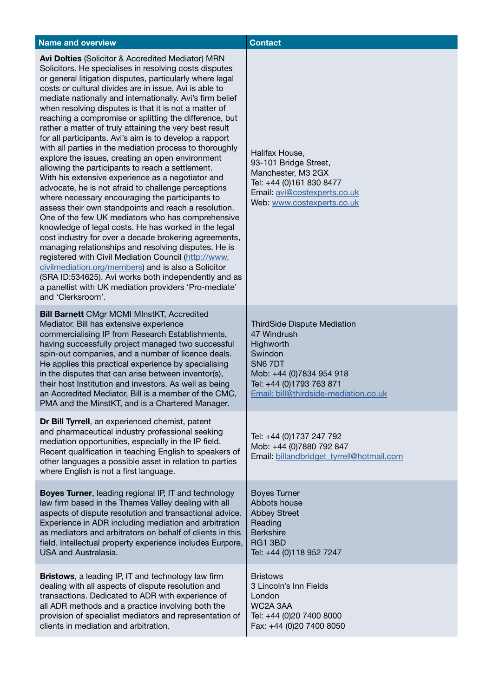| <b>Name and overview</b>                                                                                                                                                                                                                                                                                                                                                                                                                                                                                                                                                                                                                                                                                                                                                                                                                                                                                                                                                                                                                                                                                                                                                                                                                                                                                                                                                                                             | <b>Contact</b>                                                                                                                                                                        |
|----------------------------------------------------------------------------------------------------------------------------------------------------------------------------------------------------------------------------------------------------------------------------------------------------------------------------------------------------------------------------------------------------------------------------------------------------------------------------------------------------------------------------------------------------------------------------------------------------------------------------------------------------------------------------------------------------------------------------------------------------------------------------------------------------------------------------------------------------------------------------------------------------------------------------------------------------------------------------------------------------------------------------------------------------------------------------------------------------------------------------------------------------------------------------------------------------------------------------------------------------------------------------------------------------------------------------------------------------------------------------------------------------------------------|---------------------------------------------------------------------------------------------------------------------------------------------------------------------------------------|
| Avi Dolties (Solicitor & Accredited Mediator) MRN<br>Solicitors. He specialises in resolving costs disputes<br>or general litigation disputes, particularly where legal<br>costs or cultural divides are in issue. Avi is able to<br>mediate nationally and internationally. Avi's firm belief<br>when resolving disputes is that it is not a matter of<br>reaching a compromise or splitting the difference, but<br>rather a matter of truly attaining the very best result<br>for all participants. Avi's aim is to develop a rapport<br>with all parties in the mediation process to thoroughly<br>explore the issues, creating an open environment<br>allowing the participants to reach a settlement.<br>With his extensive experience as a negotiator and<br>advocate, he is not afraid to challenge perceptions<br>where necessary encouraging the participants to<br>assess their own standpoints and reach a resolution.<br>One of the few UK mediators who has comprehensive<br>knowledge of legal costs. He has worked in the legal<br>cost industry for over a decade brokering agreements,<br>managing relationships and resolving disputes. He is<br>registered with Civil Mediation Council (http://www.<br>civilmediation.org/members) and is also a Solicitor<br>(SRA ID:534625). Avi works both independently and as<br>a panellist with UK mediation providers 'Pro-mediate'<br>and 'Clerksroom'. | Halifax House,<br>93-101 Bridge Street,<br>Manchester, M3 2GX<br>Tel: +44 (0)161 830 8477<br>Email: avi@costexperts.co.uk<br>Web: www.costexperts.co.uk                               |
| <b>Bill Barnett CMgr MCMI MInstKT, Accredited</b><br>Mediator. Bill has extensive experience<br>commercialising IP from Research Establishments,<br>having successfully project managed two successful<br>spin-out companies, and a number of licence deals.<br>He applies this practical experience by specialising<br>in the disputes that can arise between inventor(s),<br>their host Institution and investors. As well as being<br>an Accredited Mediator, Bill is a member of the CMC,<br>PMA and the MinstKT, and is a Chartered Manager.                                                                                                                                                                                                                                                                                                                                                                                                                                                                                                                                                                                                                                                                                                                                                                                                                                                                    | <b>ThirdSide Dispute Mediation</b><br>47 Windrush<br>Highworth<br>Swindon<br>SN6 7DT<br>Mob: +44 (0)7834 954 918<br>Tel: +44 (0)1793 763 871<br>Email: bill@thirdside-mediation.co.uk |
| Dr Bill Tyrrell, an experienced chemist, patent<br>and pharmaceutical industry professional seeking<br>mediation opportunities, especially in the IP field.<br>Recent qualification in teaching English to speakers of<br>other languages a possible asset in relation to parties<br>where English is not a first language.                                                                                                                                                                                                                                                                                                                                                                                                                                                                                                                                                                                                                                                                                                                                                                                                                                                                                                                                                                                                                                                                                          | Tel: +44 (0)1737 247 792<br>Mob: +44 (0)7880 792 847<br>Email: billandbridget_tyrrell@hotmail.com                                                                                     |
| <b>Boyes Turner, leading regional IP, IT and technology</b><br>law firm based in the Thames Valley dealing with all<br>aspects of dispute resolution and transactional advice.<br>Experience in ADR including mediation and arbitration<br>as mediators and arbitrators on behalf of clients in this<br>field. Intellectual property experience includes Eurpore,<br><b>USA and Australasia.</b>                                                                                                                                                                                                                                                                                                                                                                                                                                                                                                                                                                                                                                                                                                                                                                                                                                                                                                                                                                                                                     | <b>Boyes Turner</b><br>Abbots house<br><b>Abbey Street</b><br>Reading<br><b>Berkshire</b><br>RG1 3BD<br>Tel: +44 (0)118 952 7247                                                      |
| <b>Bristows</b> , a leading IP, IT and technology law firm<br>dealing with all aspects of dispute resolution and<br>transactions. Dedicated to ADR with experience of<br>all ADR methods and a practice involving both the<br>provision of specialist mediators and representation of<br>clients in mediation and arbitration.                                                                                                                                                                                                                                                                                                                                                                                                                                                                                                                                                                                                                                                                                                                                                                                                                                                                                                                                                                                                                                                                                       | <b>Bristows</b><br>3 Lincoln's Inn Fields<br>London<br>WC2A 3AA<br>Tel: +44 (0)20 7400 8000<br>Fax: +44 (0)20 7400 8050                                                               |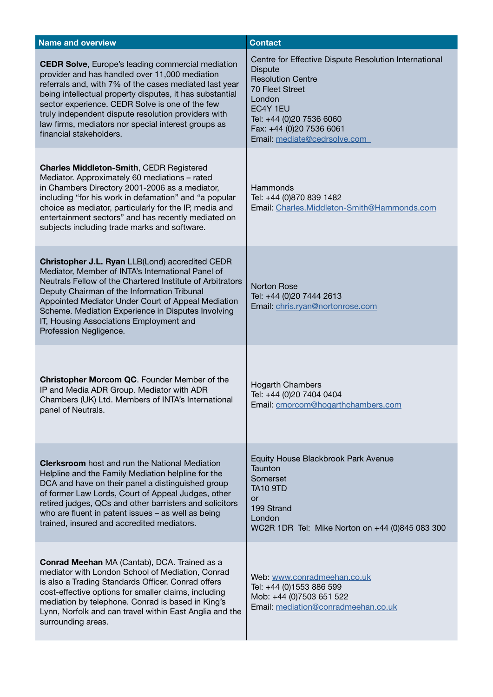| <b>Name and overview</b>                                                                                                                                                                                                                                                                                                                                                                                                     | <b>Contact</b>                                                                                                                                                                                                                              |
|------------------------------------------------------------------------------------------------------------------------------------------------------------------------------------------------------------------------------------------------------------------------------------------------------------------------------------------------------------------------------------------------------------------------------|---------------------------------------------------------------------------------------------------------------------------------------------------------------------------------------------------------------------------------------------|
| <b>CEDR Solve, Europe's leading commercial mediation</b><br>provider and has handled over 11,000 mediation<br>referrals and, with 7% of the cases mediated last year<br>being intellectual property disputes, it has substantial<br>sector experience. CEDR Solve is one of the few<br>truly independent dispute resolution providers with<br>law firms, mediators nor special interest groups as<br>financial stakeholders. | Centre for Effective Dispute Resolution International<br><b>Dispute</b><br><b>Resolution Centre</b><br><b>70 Fleet Street</b><br>London<br>EC4Y 1EU<br>Tel: +44 (0)20 7536 6060<br>Fax: +44 (0)20 7536 6061<br>Email: mediate@cedrsolve.com |
| <b>Charles Middleton-Smith, CEDR Registered</b><br>Mediator. Approximately 60 mediations - rated<br>in Chambers Directory 2001-2006 as a mediator,<br>including "for his work in defamation" and "a popular<br>choice as mediator, particularly for the IP, media and<br>entertainment sectors" and has recently mediated on<br>subjects including trade marks and software.                                                 | Hammonds<br>Tel: +44 (0)870 839 1482<br>Email: Charles.Middleton-Smith@Hammonds.com                                                                                                                                                         |
| Christopher J.L. Ryan LLB(Lond) accredited CEDR<br>Mediator, Member of INTA's International Panel of<br>Neutrals Fellow of the Chartered Institute of Arbitrators<br>Deputy Chairman of the Information Tribunal<br>Appointed Mediator Under Court of Appeal Mediation<br>Scheme. Mediation Experience in Disputes Involving<br>IT, Housing Associations Employment and<br>Profession Negligence.                            | <b>Norton Rose</b><br>Tel: +44 (0)20 7444 2613<br>Email: chris.ryan@nortonrose.com                                                                                                                                                          |
| Christopher Morcom QC. Founder Member of the<br>IP and Media ADR Group. Mediator with ADR<br>Chambers (UK) Ltd. Members of INTA's International<br>panel of Neutrals.                                                                                                                                                                                                                                                        | <b>Hogarth Chambers</b><br>Tel: +44 (0)20 7404 0404<br>Email: cmorcom@hogarthchambers.com                                                                                                                                                   |
| <b>Clerksroom</b> host and run the National Mediation<br>Helpline and the Family Mediation helpline for the<br>DCA and have on their panel a distinguished group<br>of former Law Lords, Court of Appeal Judges, other<br>retired judges, QCs and other barristers and solicitors<br>who are fluent in patent issues - as well as being<br>trained, insured and accredited mediators.                                        | Equity House Blackbrook Park Avenue<br>Taunton<br>Somerset<br><b>TA10 9TD</b><br><b>or</b><br>199 Strand<br>London<br>WC2R 1DR Tel: Mike Norton on +44 (0)845 083 300                                                                       |
| <b>Conrad Meehan</b> MA (Cantab), DCA. Trained as a<br>mediator with London School of Mediation, Conrad<br>is also a Trading Standards Officer. Conrad offers<br>cost-effective options for smaller claims, including<br>mediation by telephone. Conrad is based in King's<br>Lynn, Norfolk and can travel within East Anglia and the<br>surrounding areas.                                                                  | Web: www.conradmeehan.co.uk<br>Tel: +44 (0)1553 886 599<br>Mob: +44 (0)7503 651 522<br>Email: mediation@conradmeehan.co.uk                                                                                                                  |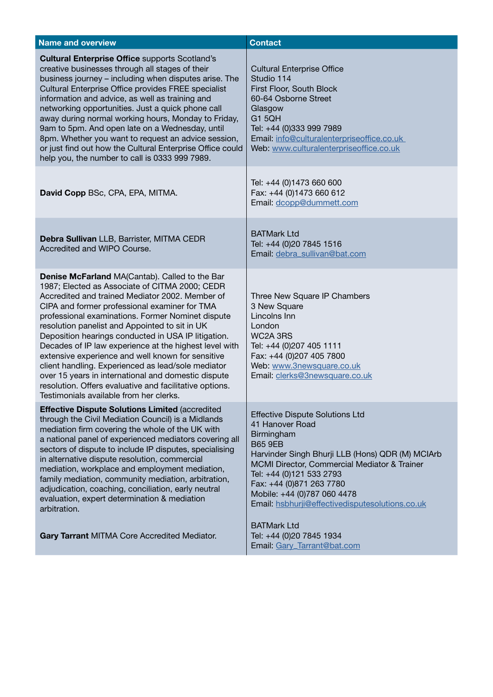| <b>Name and overview</b>                                                                                                                                                                                                                                                                                                                                                                                                                                                                                                                                                                                                                                                                                    | <b>Contact</b>                                                                                                                                                                                                                                                                                                                          |
|-------------------------------------------------------------------------------------------------------------------------------------------------------------------------------------------------------------------------------------------------------------------------------------------------------------------------------------------------------------------------------------------------------------------------------------------------------------------------------------------------------------------------------------------------------------------------------------------------------------------------------------------------------------------------------------------------------------|-----------------------------------------------------------------------------------------------------------------------------------------------------------------------------------------------------------------------------------------------------------------------------------------------------------------------------------------|
| <b>Cultural Enterprise Office supports Scotland's</b><br>creative businesses through all stages of their<br>business journey - including when disputes arise. The<br>Cultural Enterprise Office provides FREE specialist<br>information and advice, as well as training and<br>networking opportunities. Just a quick phone call<br>away during normal working hours, Monday to Friday,<br>9am to 5pm. And open late on a Wednesday, until<br>8pm. Whether you want to request an advice session,<br>or just find out how the Cultural Enterprise Office could<br>help you, the number to call is 0333 999 7989.                                                                                            | <b>Cultural Enterprise Office</b><br>Studio 114<br>First Floor, South Block<br>60-64 Osborne Street<br>Glasgow<br>G1 5QH<br>Tel: +44 (0)333 999 7989<br>Email: info@culturalenterpriseoffice.co.uk<br>Web: www.culturalenterpriseoffice.co.uk                                                                                           |
| David Copp BSc, CPA, EPA, MITMA.                                                                                                                                                                                                                                                                                                                                                                                                                                                                                                                                                                                                                                                                            | Tel: +44 (0)1473 660 600<br>Fax: +44 (0)1473 660 612<br>Email: dcopp@dummett.com                                                                                                                                                                                                                                                        |
| Debra Sullivan LLB, Barrister, MITMA CEDR<br>Accredited and WIPO Course.                                                                                                                                                                                                                                                                                                                                                                                                                                                                                                                                                                                                                                    | <b>BATMark Ltd</b><br>Tel: +44 (0)20 7845 1516<br>Email: debra_sullivan@bat.com                                                                                                                                                                                                                                                         |
| <b>Denise McFarland MA(Cantab). Called to the Bar</b><br>1987; Elected as Associate of CITMA 2000; CEDR<br>Accredited and trained Mediator 2002. Member of<br>CIPA and former professional examiner for TMA<br>professional examinations. Former Nominet dispute<br>resolution panelist and Appointed to sit in UK<br>Deposition hearings conducted in USA IP litigation.<br>Decades of IP law experience at the highest level with<br>extensive experience and well known for sensitive<br>client handling. Experienced as lead/sole mediator<br>over 15 years in international and domestic dispute<br>resolution. Offers evaluative and facilitative options.<br>Testimonials available from her clerks. | Three New Square IP Chambers<br>3 New Square<br>Lincolns Inn<br>London<br>WC2A 3RS<br>Tel: +44 (0)207 405 1111<br>Fax: +44 (0)207 405 7800<br>Web: www.3newsquare.co.uk<br>Email: clerks@3newsquare.co.uk                                                                                                                               |
| <b>Effective Dispute Solutions Limited (accredited</b><br>through the Civil Mediation Council) is a Midlands<br>mediation firm covering the whole of the UK with<br>a national panel of experienced mediators covering all<br>sectors of dispute to include IP disputes, specialising<br>in alternative dispute resolution, commercial<br>mediation, workplace and employment mediation,<br>family mediation, community mediation, arbitration,<br>adjudication, coaching, conciliation, early neutral<br>evaluation, expert determination & mediation<br>arbitration.                                                                                                                                      | <b>Effective Dispute Solutions Ltd</b><br>41 Hanover Road<br>Birmingham<br><b>B65 9EB</b><br>Harvinder Singh Bhurji LLB (Hons) QDR (M) MCIArb<br>MCMI Director, Commercial Mediator & Trainer<br>Tel: +44 (0)121 533 2793<br>Fax: +44 (0)871 263 7780<br>Mobile: +44 (0)787 060 4478<br>Email: hsbhurji@effectivedisputesolutions.co.uk |
| Gary Tarrant MITMA Core Accredited Mediator.                                                                                                                                                                                                                                                                                                                                                                                                                                                                                                                                                                                                                                                                | <b>BATMark Ltd</b><br>Tel: +44 (0)20 7845 1934<br>Email: Gary_Tarrant@bat.com                                                                                                                                                                                                                                                           |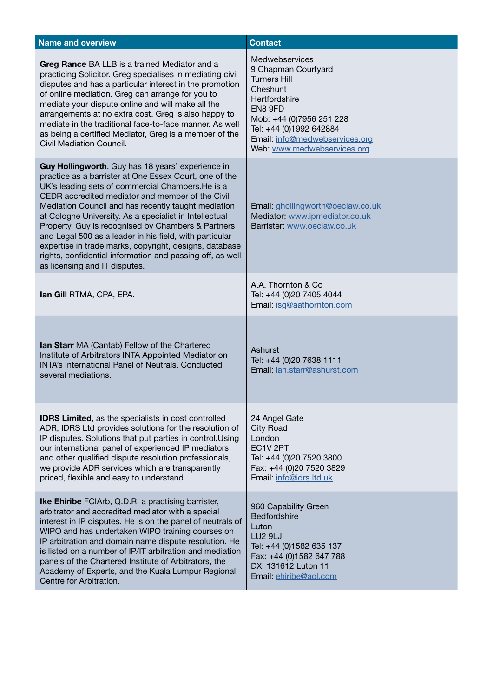| <b>Name and overview</b>                                                                                                                                                                                                                                                                                                                                                                                                                                                                                                                                                                                       | <b>Contact</b>                                                                                                                                                                                                               |
|----------------------------------------------------------------------------------------------------------------------------------------------------------------------------------------------------------------------------------------------------------------------------------------------------------------------------------------------------------------------------------------------------------------------------------------------------------------------------------------------------------------------------------------------------------------------------------------------------------------|------------------------------------------------------------------------------------------------------------------------------------------------------------------------------------------------------------------------------|
| Greg Rance BA LLB is a trained Mediator and a<br>practicing Solicitor. Greg specialises in mediating civil<br>disputes and has a particular interest in the promotion<br>of online mediation. Greg can arrange for you to<br>mediate your dispute online and will make all the<br>arrangements at no extra cost. Greg is also happy to<br>mediate in the traditional face-to-face manner. As well<br>as being a certified Mediator, Greg is a member of the<br>Civil Mediation Council.                                                                                                                        | Medwebservices<br>9 Chapman Courtyard<br><b>Turners Hill</b><br>Cheshunt<br>Hertfordshire<br>EN8 9FD<br>Mob: +44 (0)7956 251 228<br>Tel: +44 (0)1992 642884<br>Email: info@medwebservices.org<br>Web: www.medwebservices.org |
| Guy Hollingworth. Guy has 18 years' experience in<br>practice as a barrister at One Essex Court, one of the<br>UK's leading sets of commercial Chambers. He is a<br>CEDR accredited mediator and member of the Civil<br>Mediation Council and has recently taught mediation<br>at Cologne University. As a specialist in Intellectual<br>Property, Guy is recognised by Chambers & Partners<br>and Legal 500 as a leader in his field, with particular<br>expertise in trade marks, copyright, designs, database<br>rights, confidential information and passing off, as well<br>as licensing and IT disputes. | Email: ghollingworth@oeclaw.co.uk<br>Mediator: www.ipmediator.co.uk<br>Barrister: www.oeclaw.co.uk                                                                                                                           |
| Ian Gill RTMA, CPA, EPA.                                                                                                                                                                                                                                                                                                                                                                                                                                                                                                                                                                                       | A.A. Thornton & Co.<br>Tel: +44 (0)20 7405 4044<br>Email: isg@aathornton.com                                                                                                                                                 |
| <b>Ian Starr</b> MA (Cantab) Fellow of the Chartered<br>Institute of Arbitrators INTA Appointed Mediator on<br><b>INTA's International Panel of Neutrals, Conducted</b><br>several mediations.                                                                                                                                                                                                                                                                                                                                                                                                                 | Ashurst<br>Tel: +44 (0)20 7638 1111<br>Email: jan.starr@ashurst.com                                                                                                                                                          |
| <b>IDRS Limited, as the specialists in cost controlled</b><br>ADR, IDRS Ltd provides solutions for the resolution of<br>IP disputes. Solutions that put parties in control. Using<br>our international panel of experienced IP mediators<br>and other qualified dispute resolution professionals,<br>we provide ADR services which are transparently<br>priced, flexible and easy to understand.                                                                                                                                                                                                               | 24 Angel Gate<br><b>City Road</b><br>London<br>EC1V <sub>2PT</sub><br>Tel: +44 (0)20 7520 3800<br>Fax: +44 (0)20 7520 3829<br>Email: info@idrs.ltd.uk                                                                        |
| <b>Ike Ehiribe</b> FCIArb, Q.D.R, a practising barrister,<br>arbitrator and accredited mediator with a special<br>interest in IP disputes. He is on the panel of neutrals of<br>WIPO and has undertaken WIPO training courses on<br>IP arbitration and domain name dispute resolution. He<br>is listed on a number of IP/IT arbitration and mediation<br>panels of the Chartered Institute of Arbitrators, the<br>Academy of Experts, and the Kuala Lumpur Regional<br>Centre for Arbitration.                                                                                                                 | 960 Capability Green<br>Bedfordshire<br>Luton<br><b>LU2 9LJ</b><br>Tel: +44 (0)1582 635 137<br>Fax: +44 (0)1582 647 788<br>DX: 131612 Luton 11<br>Email: ehiribe@aol.com                                                     |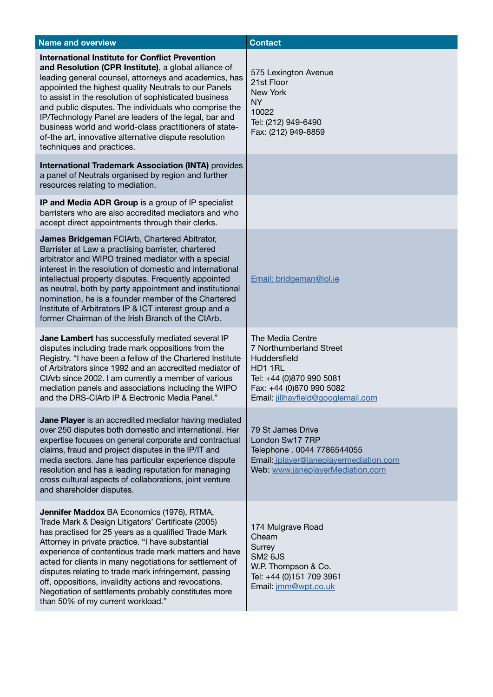| <b>Name and overview</b>                                                                                                                                                                                                                                                                                                                                                                                                                                                                                                                                   | <b>Contact</b>                                                                                                                                                       |
|------------------------------------------------------------------------------------------------------------------------------------------------------------------------------------------------------------------------------------------------------------------------------------------------------------------------------------------------------------------------------------------------------------------------------------------------------------------------------------------------------------------------------------------------------------|----------------------------------------------------------------------------------------------------------------------------------------------------------------------|
| <b>International Institute for Conflict Prevention</b><br>and Resolution (CPR Institute), a global alliance of<br>leading general counsel, attorneys and academics, has<br>appointed the highest quality Neutrals to our Panels<br>to assist in the resolution of sophisticated business<br>and public disputes. The individuals who comprise the<br>IP/Technology Panel are leaders of the legal, bar and<br>business world and world-class practitioners of state-<br>of-the art, innovative alternative dispute resolution<br>techniques and practices. | 575 Lexington Avenue<br>21st Floor<br>New York<br><b>NY</b><br>10022<br>Tel: (212) 949-6490<br>Fax: (212) 949-8859                                                   |
| <b>International Trademark Association (INTA)</b> provides<br>a panel of Neutrals organised by region and further<br>resources relating to mediation.                                                                                                                                                                                                                                                                                                                                                                                                      |                                                                                                                                                                      |
| IP and Media ADR Group is a group of IP specialist<br>barristers who are also accredited mediators and who<br>accept direct appointments through their clerks.                                                                                                                                                                                                                                                                                                                                                                                             |                                                                                                                                                                      |
| James Bridgeman FCIArb, Chartered Abitrator,<br>Barrister at Law a practising barrister, chartered<br>arbitrator and WIPO trained mediator with a special<br>interest in the resolution of domestic and international<br>intellectual property disputes. Frequently appointed<br>as neutral, both by party appointment and institutional<br>nomination, he is a founder member of the Chartered<br>Institute of Arbitrators IP & ICT interest group and a<br>former Chairman of the Irish Branch of the CIArb.                                             | Email: bridgeman@iol.ie                                                                                                                                              |
| Jane Lambert has successfully mediated several IP<br>disputes including trade mark oppositions from the<br>Registry. "I have been a fellow of the Chartered Institute<br>of Arbitrators since 1992 and an accredited mediator of<br>CIArb since 2002. I am currently a member of various<br>mediation panels and associations including the WIPO<br>and the DRS-CIArb IP & Electronic Media Panel."                                                                                                                                                        | The Media Centre<br>7 Northumberland Street<br>Huddersfield<br>HD1 1RL<br>Tel: +44 (0)870 990 5081<br>Fax: +44 (0)870 990 5082<br>Email: jillhayfield@googlemail.com |
| Jane Player is an accredited mediator having mediated<br>over 250 disputes both domestic and international. Her<br>expertise focuses on general corporate and contractual<br>claims, fraud and project disputes in the IP/IT and<br>media sectors. Jane has particular experience dispute<br>resolution and has a leading reputation for managing<br>cross cultural aspects of collaborations, joint venture<br>and shareholder disputes.                                                                                                                  | 79 St James Drive<br>London Sw17 7RP<br>Telephone . 0044 7786544055<br>Email: jplayer@janeplayermediation.com<br>Web: www.janeplayerMediation.com                    |
| <b>Jennifer Maddox BA Economics (1976), RTMA,</b><br>Trade Mark & Design Litigators' Certificate (2005)<br>has practised for 25 years as a qualified Trade Mark<br>Attorney in private practice. "I have substantial<br>experience of contentious trade mark matters and have<br>acted for clients in many negotiations for settlement of<br>disputes relating to trade mark infringement, passing<br>off, oppositions, invalidity actions and revocations.<br>Negotiation of settlements probably constitutes more<br>than 50% of my current workload."   | 174 Mulgrave Road<br>Cheam<br>Surrey<br><b>SM2 6JS</b><br>W.P. Thompson & Co.<br>Tel: +44 (0)151 709 3961<br>Email: jmm@wpt.co.uk                                    |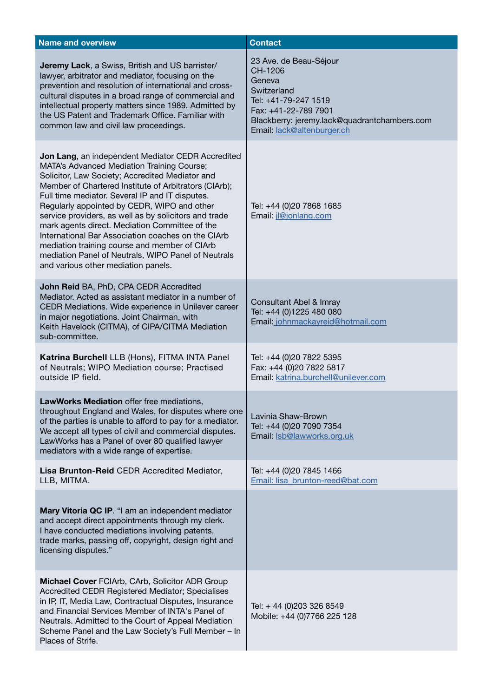| <b>Name and overview</b>                                                                                                                                                                                                                                                                                                                                                                                                                                                                                                                                                                                                             | <b>Contact</b>                                                                                                                                                                           |
|--------------------------------------------------------------------------------------------------------------------------------------------------------------------------------------------------------------------------------------------------------------------------------------------------------------------------------------------------------------------------------------------------------------------------------------------------------------------------------------------------------------------------------------------------------------------------------------------------------------------------------------|------------------------------------------------------------------------------------------------------------------------------------------------------------------------------------------|
| Jeremy Lack, a Swiss, British and US barrister/<br>lawyer, arbitrator and mediator, focusing on the<br>prevention and resolution of international and cross-<br>cultural disputes in a broad range of commercial and<br>intellectual property matters since 1989. Admitted by<br>the US Patent and Trademark Office. Familiar with<br>common law and civil law proceedings.                                                                                                                                                                                                                                                          | 23 Ave. de Beau-Séjour<br>CH-1206<br>Geneva<br>Switzerland<br>Tel: +41-79-247 1519<br>Fax: +41-22-789 7901<br>Blackberry: jeremy.lack@quadrantchambers.com<br>Email: lack@altenburger.ch |
| Jon Lang, an independent Mediator CEDR Accredited<br><b>MATA's Advanced Mediation Training Course;</b><br>Solicitor, Law Society; Accredited Mediator and<br>Member of Chartered Institute of Arbitrators (CIArb);<br>Full time mediator. Several IP and IT disputes.<br>Regularly appointed by CEDR, WIPO and other<br>service providers, as well as by solicitors and trade<br>mark agents direct. Mediation Committee of the<br>International Bar Association coaches on the CIArb<br>mediation training course and member of CIArb<br>mediation Panel of Neutrals, WIPO Panel of Neutrals<br>and various other mediation panels. | Tel: +44 (0)20 7868 1685<br>Email: jl@jonlang.com                                                                                                                                        |
| John Reid BA, PhD, CPA CEDR Accredited<br>Mediator. Acted as assistant mediator in a number of<br>CEDR Mediations. Wide experience in Unilever career<br>in major negotiations. Joint Chairman, with<br>Keith Havelock (CITMA), of CIPA/CITMA Mediation<br>sub-committee.                                                                                                                                                                                                                                                                                                                                                            | Consultant Abel & Imray<br>Tel: +44 (0)1225 480 080<br>Email: johnmackayreid@hotmail.com                                                                                                 |
| Katrina Burchell LLB (Hons), FITMA INTA Panel<br>of Neutrals; WIPO Mediation course; Practised<br>outside IP field.                                                                                                                                                                                                                                                                                                                                                                                                                                                                                                                  | Tel: +44 (0)20 7822 5395<br>Fax: +44 (0)20 7822 5817<br>Email: katrina.burchell@unilever.com                                                                                             |
| LawWorks Mediation offer free mediations.<br>throughout England and Wales, for disputes where one<br>of the parties is unable to afford to pay for a mediator.<br>We accept all types of civil and commercial disputes.<br>LawWorks has a Panel of over 80 qualified lawyer<br>mediators with a wide range of expertise.                                                                                                                                                                                                                                                                                                             | Lavinia Shaw-Brown<br>Tel: +44 (0)20 7090 7354<br>Email: Isb@lawworks.org.uk                                                                                                             |
| Lisa Brunton-Reid CEDR Accredited Mediator,<br>LLB, MITMA.                                                                                                                                                                                                                                                                                                                                                                                                                                                                                                                                                                           | Tel: +44 (0)20 7845 1466<br>Email: lisa brunton-reed@bat.com                                                                                                                             |
| Mary Vitoria QC IP. "I am an independent mediator<br>and accept direct appointments through my clerk.<br>I have conducted mediations involving patents,<br>trade marks, passing off, copyright, design right and<br>licensing disputes."                                                                                                                                                                                                                                                                                                                                                                                             |                                                                                                                                                                                          |
| Michael Cover FCIArb, CArb, Solicitor ADR Group<br>Accredited CEDR Registered Mediator; Specialises<br>in IP, IT, Media Law, Contractual Disputes, Insurance<br>and Financial Services Member of INTA's Panel of<br>Neutrals. Admitted to the Court of Appeal Mediation<br>Scheme Panel and the Law Society's Full Member - In<br>Places of Strife.                                                                                                                                                                                                                                                                                  | Tel: + 44 (0)203 326 8549<br>Mobile: +44 (0)7766 225 128                                                                                                                                 |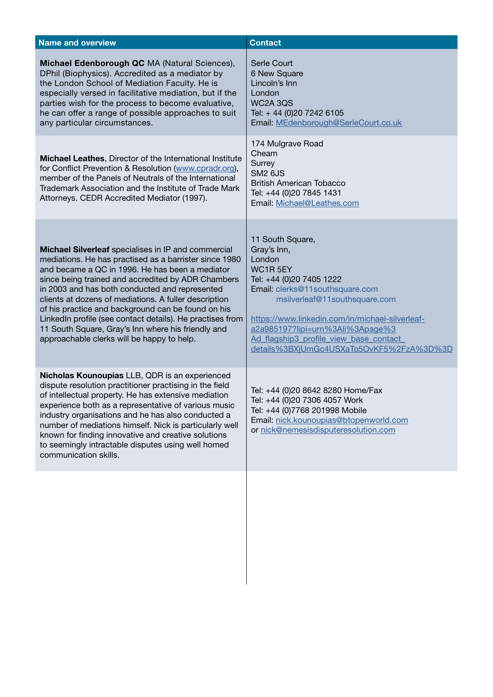| <b>Name and overview</b>                                                                                                                                                                                                                                                                                                                                                                                                                                                                                                                                 | <b>Contact</b>                                                                                                                                                                                                                                                                                                                    |
|----------------------------------------------------------------------------------------------------------------------------------------------------------------------------------------------------------------------------------------------------------------------------------------------------------------------------------------------------------------------------------------------------------------------------------------------------------------------------------------------------------------------------------------------------------|-----------------------------------------------------------------------------------------------------------------------------------------------------------------------------------------------------------------------------------------------------------------------------------------------------------------------------------|
| Michael Edenborough QC MA (Natural Sciences),<br>DPhil (Biophysics). Accredited as a mediator by<br>the London School of Mediation Faculty. He is<br>especially versed in facilitative mediation, but if the<br>parties wish for the process to become evaluative,<br>he can offer a range of possible approaches to suit<br>any particular circumstances.                                                                                                                                                                                               | Serle Court<br>6 New Square<br>Lincoln's Inn<br>London<br>WC2A 3QS<br>Tel: +44 (0)20 7242 6105<br>Email: MEdenborough@SerleCourt.co.uk                                                                                                                                                                                            |
| Michael Leathes, Director of the International Institute<br>for Conflict Prevention & Resolution (www.cpradr.org),<br>member of the Panels of Neutrals of the International<br>Trademark Association and the Institute of Trade Mark<br>Attorneys. CEDR Accredited Mediator (1997).                                                                                                                                                                                                                                                                      | 174 Mulgrave Road<br>Cheam<br>Surrey<br><b>SM2 6JS</b><br><b>British American Tobacco</b><br>Tel: +44 (0)20 7845 1431<br>Email: Michael@Leathes.com                                                                                                                                                                               |
| Michael Silverleaf specialises in IP and commercial<br>mediations. He has practised as a barrister since 1980<br>and became a QC in 1996. He has been a mediator<br>since being trained and accredited by ADR Chambers<br>in 2003 and has both conducted and represented<br>clients at dozens of mediations. A fuller description<br>of his practice and background can be found on his<br>LinkedIn profile (see contact details). He practises from<br>11 South Square, Gray's Inn where his friendly and<br>approachable clerks will be happy to help. | 11 South Square,<br>Gray's Inn,<br>London<br>WC1R5EY<br>Tel: +44 (0)20 7405 1222<br>Email: clerks@11southsquare.com<br>msilverleaf@11southsquare.com<br>https://www.linkedin.com/in/michael-silverleaf-<br>a2a985197?lipi=urn%3Ali%3Apage%3<br>Ad flagship3 profile view base contact<br>details%3BXjUmGc4USXaTo5OvKF5%2FzA%3D%3D |
| Nicholas Kounoupias LLB, QDR is an experienced<br>dispute resolution practitioner practising in the field<br>of intellectual property. He has extensive mediation<br>experience both as a representative of various music<br>industry organisations and he has also conducted a<br>number of mediations himself. Nick is particularly well<br>known for finding innovative and creative solutions<br>to seemingly intractable disputes using well homed<br>communication skills.                                                                         | Tel: +44 (0)20 8642 8280 Home/Fax<br>Tel: +44 (0)20 7306 4057 Work<br>Tel: +44 (0)7768 201998 Mobile<br>Email: nick.kounoupias@btopenworld.com<br>or nick@nemesisdisputeresolution.com                                                                                                                                            |
|                                                                                                                                                                                                                                                                                                                                                                                                                                                                                                                                                          |                                                                                                                                                                                                                                                                                                                                   |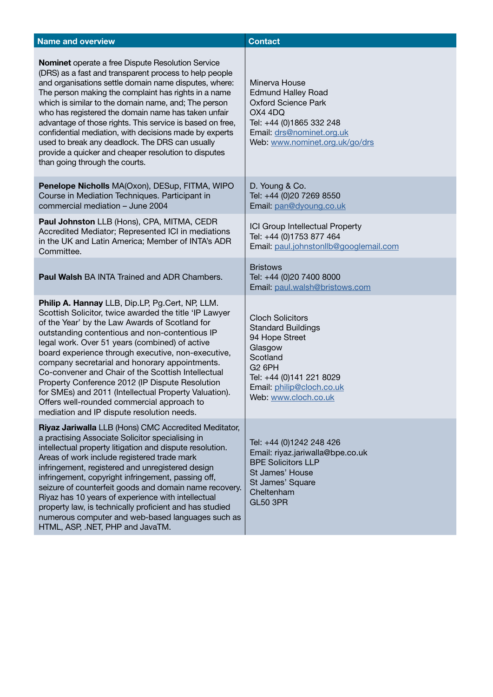| <b>Name and overview</b>                                                                                                                                                                                                                                                                                                                                                                                                                                                                                                                                                                                                              | <b>Contact</b>                                                                                                                                                                                  |
|---------------------------------------------------------------------------------------------------------------------------------------------------------------------------------------------------------------------------------------------------------------------------------------------------------------------------------------------------------------------------------------------------------------------------------------------------------------------------------------------------------------------------------------------------------------------------------------------------------------------------------------|-------------------------------------------------------------------------------------------------------------------------------------------------------------------------------------------------|
| Nominet operate a free Dispute Resolution Service<br>(DRS) as a fast and transparent process to help people<br>and organisations settle domain name disputes, where:<br>The person making the complaint has rights in a name<br>which is similar to the domain name, and; The person<br>who has registered the domain name has taken unfair<br>advantage of those rights. This service is based on free,<br>confidential mediation, with decisions made by experts<br>used to break any deadlock. The DRS can usually<br>provide a quicker and cheaper resolution to disputes<br>than going through the courts.                       | Minerva House<br><b>Edmund Halley Road</b><br><b>Oxford Science Park</b><br>OX4 4DQ<br>Tel: +44 (0)1865 332 248<br>Email: drs@nominet.org.uk<br>Web: www.nominet.org.uk/go/drs                  |
| Penelope Nicholls MA(Oxon), DESup, FITMA, WIPO<br>Course in Mediation Techniques. Participant in<br>commercial mediation - June 2004                                                                                                                                                                                                                                                                                                                                                                                                                                                                                                  | D. Young & Co.<br>Tel: +44 (0)20 7269 8550<br>Email: pan@dyoung.co.uk                                                                                                                           |
| Paul Johnston LLB (Hons), CPA, MITMA, CEDR<br>Accredited Mediator; Represented ICI in mediations<br>in the UK and Latin America; Member of INTA's ADR<br>Committee.                                                                                                                                                                                                                                                                                                                                                                                                                                                                   | ICI Group Intellectual Property<br>Tel: +44 (0)1753 877 464<br>Email: paul.johnstonllb@googlemail.com                                                                                           |
| <b>Paul Walsh BA INTA Trained and ADR Chambers.</b>                                                                                                                                                                                                                                                                                                                                                                                                                                                                                                                                                                                   | <b>Bristows</b><br>Tel: +44 (0)20 7400 8000<br>Email: paul.walsh@bristows.com                                                                                                                   |
| Philip A. Hannay LLB, Dip.LP, Pg.Cert, NP, LLM.<br>Scottish Solicitor, twice awarded the title 'IP Lawyer<br>of the Year' by the Law Awards of Scotland for<br>outstanding contentious and non-contentious IP<br>legal work. Over 51 years (combined) of active<br>board experience through executive, non-executive,<br>company secretarial and honorary appointments.<br>Co-convener and Chair of the Scottish Intellectual<br>Property Conference 2012 (IP Dispute Resolution<br>for SMEs) and 2011 (Intellectual Property Valuation).<br>Offers well-rounded commercial approach to<br>mediation and IP dispute resolution needs. | <b>Cloch Solicitors</b><br><b>Standard Buildings</b><br>94 Hope Street<br>Glasgow<br>Scotland<br><b>G2 6PH</b><br>Tel: +44 (0)141 221 8029<br>Email: philip@cloch.co.uk<br>Web: www.cloch.co.uk |
| Riyaz Jariwalla LLB (Hons) CMC Accredited Meditator,<br>a practising Associate Solicitor specialising in<br>intellectual property litigation and dispute resolution.<br>Areas of work include registered trade mark<br>infringement, registered and unregistered design<br>infringement, copyright infringement, passing off,<br>seizure of counterfeit goods and domain name recovery.<br>Riyaz has 10 years of experience with intellectual<br>property law, is technically proficient and has studied<br>numerous computer and web-based languages such as<br>HTML, ASP, .NET, PHP and JavaTM.                                     | Tel: +44 (0)1242 248 426<br>Email: riyaz.jariwalla@bpe.co.uk<br><b>BPE Solicitors LLP</b><br>St James' House<br>St James' Square<br>Cheltenham<br><b>GL50 3PR</b>                               |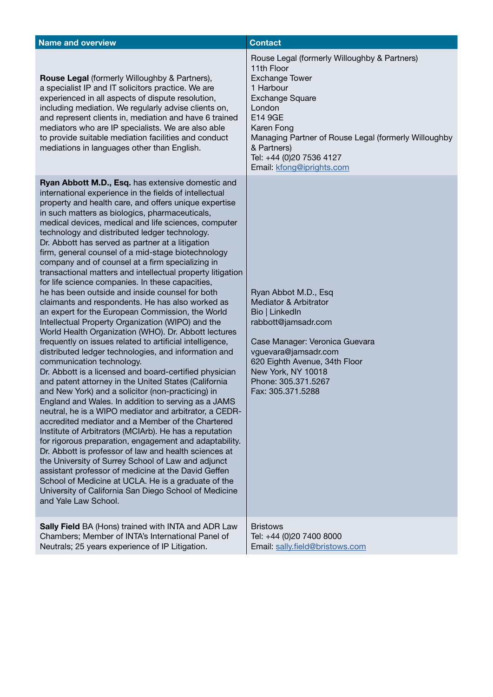| <b>Name and overview</b>                                                                                                                                                                                                                                                                                                                                                                                                                                                                                                                                                                                                                                                                                                                                                                                                                                                                                                                                                                                                                                                                                                                                                                                                                                                                                                                                                                                                                                                                                                                                                                                                                                                                                                                                                                                                | <b>Contact</b>                                                                                                                                                                                                                                                                                |
|-------------------------------------------------------------------------------------------------------------------------------------------------------------------------------------------------------------------------------------------------------------------------------------------------------------------------------------------------------------------------------------------------------------------------------------------------------------------------------------------------------------------------------------------------------------------------------------------------------------------------------------------------------------------------------------------------------------------------------------------------------------------------------------------------------------------------------------------------------------------------------------------------------------------------------------------------------------------------------------------------------------------------------------------------------------------------------------------------------------------------------------------------------------------------------------------------------------------------------------------------------------------------------------------------------------------------------------------------------------------------------------------------------------------------------------------------------------------------------------------------------------------------------------------------------------------------------------------------------------------------------------------------------------------------------------------------------------------------------------------------------------------------------------------------------------------------|-----------------------------------------------------------------------------------------------------------------------------------------------------------------------------------------------------------------------------------------------------------------------------------------------|
| <b>Rouse Legal (formerly Willoughby &amp; Partners),</b><br>a specialist IP and IT solicitors practice. We are<br>experienced in all aspects of dispute resolution,<br>including mediation. We regularly advise clients on,<br>and represent clients in, mediation and have 6 trained<br>mediators who are IP specialists. We are also able<br>to provide suitable mediation facilities and conduct<br>mediations in languages other than English.                                                                                                                                                                                                                                                                                                                                                                                                                                                                                                                                                                                                                                                                                                                                                                                                                                                                                                                                                                                                                                                                                                                                                                                                                                                                                                                                                                      | Rouse Legal (formerly Willoughby & Partners)<br>11th Floor<br><b>Exchange Tower</b><br>1 Harbour<br><b>Exchange Square</b><br>London<br>E14 9GE<br>Karen Fong<br>Managing Partner of Rouse Legal (formerly Willoughby<br>& Partners)<br>Tel: +44 (0)20 7536 4127<br>Email: kfong@iprights.com |
| Ryan Abbott M.D., Esq. has extensive domestic and<br>international experience in the fields of intellectual<br>property and health care, and offers unique expertise<br>in such matters as biologics, pharmaceuticals,<br>medical devices, medical and life sciences, computer<br>technology and distributed ledger technology.<br>Dr. Abbott has served as partner at a litigation<br>firm, general counsel of a mid-stage biotechnology<br>company and of counsel at a firm specializing in<br>transactional matters and intellectual property litigation<br>for life science companies. In these capacities,<br>he has been outside and inside counsel for both<br>claimants and respondents. He has also worked as<br>an expert for the European Commission, the World<br>Intellectual Property Organization (WIPO) and the<br>World Health Organization (WHO). Dr. Abbott lectures<br>frequently on issues related to artificial intelligence,<br>distributed ledger technologies, and information and<br>communication technology.<br>Dr. Abbott is a licensed and board-certified physician<br>and patent attorney in the United States (California<br>and New York) and a solicitor (non-practicing) in<br>England and Wales. In addition to serving as a JAMS<br>neutral, he is a WIPO mediator and arbitrator, a CEDR-<br>accredited mediator and a Member of the Chartered<br>Institute of Arbitrators (MCIArb). He has a reputation<br>for rigorous preparation, engagement and adaptability.<br>Dr. Abbott is professor of law and health sciences at<br>the University of Surrey School of Law and adjunct<br>assistant professor of medicine at the David Geffen<br>School of Medicine at UCLA. He is a graduate of the<br>University of California San Diego School of Medicine<br>and Yale Law School. | Ryan Abbot M.D., Esq<br><b>Mediator &amp; Arbitrator</b><br>Bio   LinkedIn<br>rabbott@jamsadr.com<br>Case Manager: Veronica Guevara<br>vguevara@jamsadr.com<br>620 Eighth Avenue, 34th Floor<br>New York, NY 10018<br>Phone: 305.371.5267<br>Fax: 305.371.5288                                |
| Sally Field BA (Hons) trained with INTA and ADR Law<br>Chambers; Member of INTA's International Panel of<br>Neutrals; 25 years experience of IP Litigation.                                                                                                                                                                                                                                                                                                                                                                                                                                                                                                                                                                                                                                                                                                                                                                                                                                                                                                                                                                                                                                                                                                                                                                                                                                                                                                                                                                                                                                                                                                                                                                                                                                                             | <b>Bristows</b><br>Tel: +44 (0)20 7400 8000<br>Email: sally.field@bristows.com                                                                                                                                                                                                                |